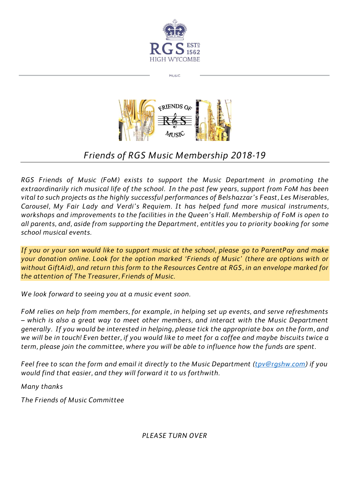

MUSIC



## *Friends of RGS Music Membership 2018-19*

*RGS Friends of Music (FoM) exists to support the Music Department in promoting the extraordinarily rich musical life of the school. In the past few years, support from FoM has been vital to such projects as the highly successful performances of Belshazzar's Feast, Les Miserables, Carousel, My Fair Lady and Verdi's Requiem. It has helped fund more musical instruments, workshops and improvements to the facilities in the Queen's Hall. Membership of FoM is open to all parents, and, aside from supporting the Department, entitles you to priority booking for some school musical events.* 

*If you or your son would like to support music at the school, please go to ParentPay and make your donation online. Look for the option marked 'Friends of Music' (there are options with or without GiftAid), and return this form to the Resources Centre at RGS, in an envelope marked for the attention of The Treasurer, Friends of Music.*

*We look forward to seeing you at a music event soon.* 

*FoM relies on help from members, for example, in helping set up events, and serve refreshments – which is also a great way to meet other members, and interact with the Music Department generally. If you would be interested in helping, please tick the appropriate box on the form, and we will be in touch! Even better, if you would like to meet for a coffee and maybe biscuits twice a term, please join the committee, where you will be able to influence how the funds are spent.*

*Feel free to scan the form and email it directly to the Music Department [\(tpv@rgshw.com\)](mailto:tpv@rgshw.com)* if you *would find that easier, and they will forward it to us forthwith.*

*Many thanks*

*The Friends of Music Committee*

*PLEASE TURN OVER*